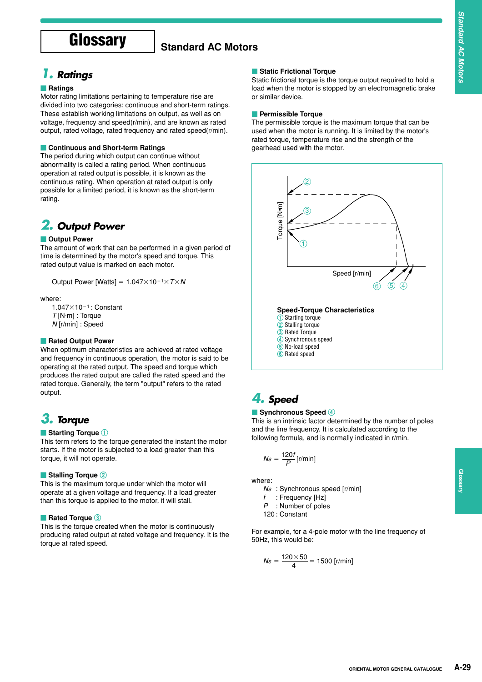# **Glossary** Standard AC Motors

### *1. Ratings*

#### **Ratings**

Motor rating limitations pertaining to temperature rise are divided into two categories: continuous and short-term ratings. These establish working limitations on output, as well as on voltage, frequency and speed(r/min), and are known as rated output, rated voltage, rated frequency and rated speed(r/min).

#### **Continuous and Short-term Ratings**

The period during which output can continue without abnormality is called a rating period. When continuous operation at rated output is possible, it is known as the continuous rating. When operation at rated output is only possible for a limited period, it is known as the short-term rating.

### *2. Output Power*

#### **Output Power**

The amount of work that can be performed in a given period of time is determined by the motor's speed and torque. This rated output value is marked on each motor.

Output Power [Watts] =  $1.047 \times 10^{-1} \times T \times N$ 

#### where:

 $1.047\times10^{-1}$ : Constant *T* [N·m] : Torque *N* [r/min] : Speed

#### **Rated Output Power**

When optimum characteristics are achieved at rated voltage and frequency in continuous operation, the motor is said to be operating at the rated output. The speed and torque which produces the rated output are called the rated speed and the rated torque. Generally, the term "output" refers to the rated output.

### *3. Torque*

#### **Starting Torque 1**

This term refers to the torque generated the instant the motor starts. If the motor is subjected to a load greater than this torque, it will not operate.

#### **Stalling Torque 2**

This is the maximum torque under which the motor will operate at a given voltage and frequency. If a load greater than this torque is applied to the motor, it will stall.

#### **Rated Torque 3**

This is the torque created when the motor is continuously producing rated output at rated voltage and frequency. It is the torque at rated speed.

#### **Static Frictional Torque**

Static frictional torque is the torque output required to hold a load when the motor is stopped by an electromagnetic brake or similar device.

#### **Permissible Torque**

The permissible torque is the maximum torque that can be used when the motor is running. It is limited by the motor's rated torque, temperature rise and the strength of the gearhead used with the motor.



### *4. Speed*

#### **Synchronous Speed 4**

This is an intrinsic factor determined by the number of poles and the line frequency. It is calculated according to the following formula, and is normally indicated in r/min.

$$
Ns=\frac{120f}{P}[r/min]
$$

where:

- *NS* : Synchronous speed [r/min]
- *f* : Frequency [Hz]
- *P* : Number of poles
- 120 : Constant

For example, for a 4-pole motor with the line frequency of 50Hz, this would be:

$$
Ns = \frac{120 \times 50}{4} = 1500 \, [\text{r/min}]
$$